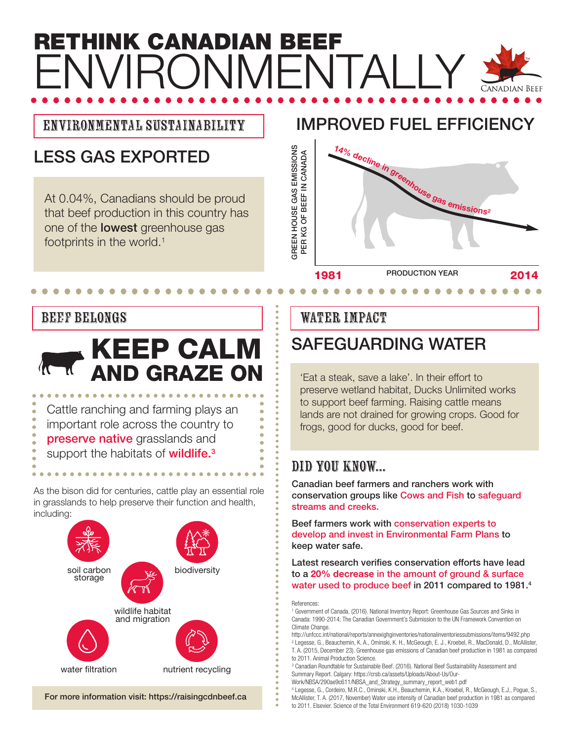## **RETHINK CANADIAN BEEF** ENVIRONMENTAL I Y **JADIAN BEEF**

## Environmental Sustainability

## **LESS GAS EXPORTED**

At 0.04%, Canadians should be proud that beef production in this country has one of the **lowest** greenhouse gas footprints in the world.1

## **IMPROVED FUEL EFFICIENCY**



#### BEEF BELONGS

# **KEEP CALM AND GRAZE ON**

Cattle ranching and farming plays an important role across the country to **preserve native** grasslands and

support the habitats of **wildlife.3**

As the bison did for centuries, cattle play an essential role in grasslands to help preserve their function and health, including:



#### **For more information visit: https://raisingcdnbeef.ca**

#### WATER IMPACT

## **SAFEGUARDING WATER**

'Eat a steak, save a lake'. In their effort to preserve wetland habitat, Ducks Unlimited works to support beef farming. Raising cattle means lands are not drained for growing crops. Good for frogs, good for ducks, good for beef.

## DID YOU KNOW...

**Canadian beef farmers and ranchers work with conservation groups like Cows and Fish to safeguard streams and creeks.**

**Beef farmers work with conservation experts to develop and invest in Environmental Farm Plans to keep water safe.**

**Latest research verifies conservation efforts have lead to a 20% decrease in the amount of ground & surface water used to produce beef in 2011 compared to 1981.4**

#### References:

http://unfccc.int/national/reports/annexighginventories/nationalinventoriessubmissions/items/9492.php 2 Legesse, G., Beauchemin, K. A., Ominski, K. H., McGeough, E. J., Kroebel, R., MacDonald, D., McAllister, T. A. (2015, December 23). Greenhouse gas emissions of Canadian beef production in 1981 as compared

to 2011. Animal Production Science. <sup>3</sup> Canadian Roundtable for Sustainable Beef. (2016). National Beef Sustainability Assessment and

Summary Report. Calgary: https://crsb.ca/assets/Uploads/About-Us/Our-

Work/NBSA/290ae9c611/NBSA\_and\_Strategy\_summary\_report\_web1.pdf

4 Legesse, G., Cordeiro, M.R.C., Ominski, K.H., Beauchemin, K.A., Kroebel, R., McGeough, E.J., Pogue, S., McAllister, T. A. (2017, November) Water use intensity of Canadian beef production in 1981 as compared

to 2011. Elsevier. Science of the Total Environment 619-620 (2018) 1030-1039

<sup>1</sup> Government of Canada. (2016). National Inventory Report: Greenhouse Gas Sources and Sinks in Canada: 1990-2014; The Canadian Government's Submission to the UN Framework Convention on Climate Change.